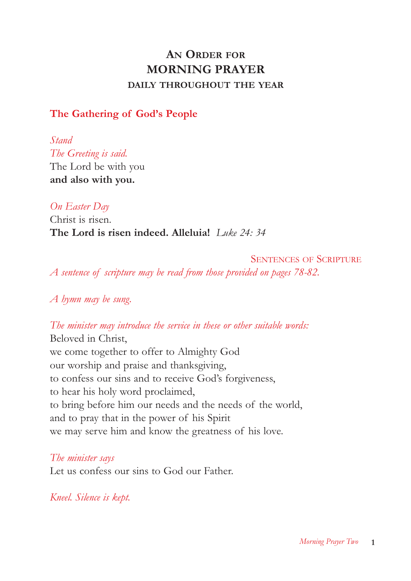# **AN ORDER FOR MORNING PRAYER DAILY THROUGHOUT THE YEAR**

# **The Gathering of God's People**

*Stand The Greeting is said.* The Lord be with you **and also with you.**

*On Easter Day* 

Christ is risen. **The Lord is risen indeed. Alleluia!** *Luke 24: 34*

SENTENCES OF SCRIPTURE *A sentence of scripture may be read from those provided on pages 78-82.*

*A hymn may be sung.*

*The minister may introduce the service in these or other suitable words:* Beloved in Christ,

we come together to offer to Almighty God our worship and praise and thanksgiving, to confess our sins and to receive God's forgiveness, to hear his holy word proclaimed, to bring before him our needs and the needs of the world, and to pray that in the power of his Spirit we may serve him and know the greatness of his love.

*The minister says* Let us confess our sins to God our Father.

*Kneel. Silence is kept.*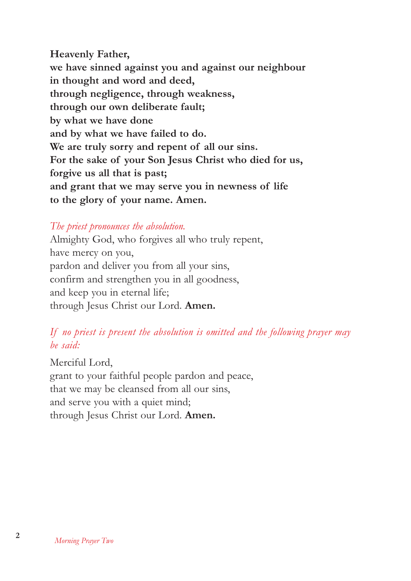**Heavenly Father, we have sinned against you and against our neighbour in thought and word and deed, through negligence, through weakness, through our own deliberate fault; by what we have done and by what we have failed to do. We are truly sorry and repent of all our sins. For the sake of your Son Jesus Christ who died for us, forgive us all that is past; and grant that we may serve you in newness of life to the glory of your name. Amen.**

# *The priest pronounces the absolution.*

Almighty God, who forgives all who truly repent, have mercy on you, pardon and deliver you from all your sins, confirm and strengthen you in all goodness, and keep you in eternal life; through Jesus Christ our Lord. **Amen.**

# *If no priest is present the absolution is omitted and the following prayer may be said:*

Merciful Lord, grant to your faithful people pardon and peace, that we may be cleansed from all our sins, and serve you with a quiet mind; through Jesus Christ our Lord. **Amen.**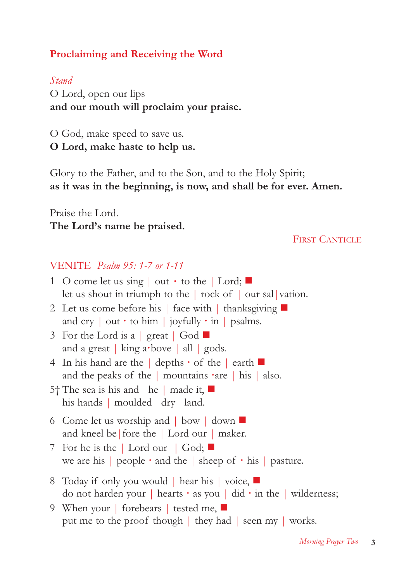# **Proclaiming and Receiving the Word**

### *Stand*

O Lord, open our lips **and our mouth will proclaim your praise.**

O God, make speed to save us. **O Lord, make haste to help us.**

Glory to the Father, and to the Son, and to the Holy Spirit; **as it was in the beginning, is now, and shall be for ever. Amen.**

Praise the Lord. **The Lord's name be praised.**

### FIRST CANTICLE

# VENITE *Psalm 95: 1-7 or 1-11*

| 1 O come let us sing $\vert$ out $\cdot$ to the $\vert$ Lord; $\vert$<br>let us shout in triumph to the $\vert$ rock of $\vert$ our sal vation.           |
|-----------------------------------------------------------------------------------------------------------------------------------------------------------|
| 2 Let us come before his   face with   thanksgiving ■<br>and cry $\vert$ out $\cdot$ to him $\vert$ joyfully $\cdot$ in $\vert$ psalms.                   |
| 3 For the Lord is a great $\vert$ God $\vert$<br>and a great   king a bove   all   gods.                                                                  |
| 4 In his hand are the $\vert$ depths $\cdot$ of the $\vert$ earth $\vert$<br>and the peaks of the $\vert$ mountains $\cdot$ are $\vert$ his $\vert$ also. |
| 5 <sup>†</sup> The sea is his and he   made it,<br>his hands   moulded dry land.                                                                          |
| 6 Come let us worship and $\vert$ bow $\vert$ down $\vert$<br>and kneel be fore the Lord our $\vert$ maker.                                               |
| 7 For he is the   Lord our   God; $\blacksquare$<br>we are his   people $\cdot$ and the   sheep of $\cdot$ his   pasture.                                 |
| 8 Today if only you would   hear his   voice, ■<br>do not harden your   hearts $\cdot$ as you   did $\cdot$ in the   wilderness;                          |
| 9 When your   forebears   tested me, $\blacksquare$<br>put me to the proof though   they had   seen my   works.                                           |
|                                                                                                                                                           |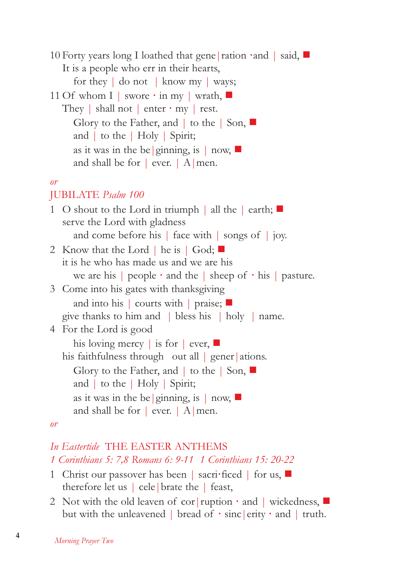10 Forty years long I loathed that gene|ration **·**and | said, It is a people who err in their hearts, for they | do not | know my | ways; 11 Of whom I | swore **·** in my | wrath, They | shall not | enter **·** my | rest. Glory to the Father, and  $\vert$  to the  $\vert$  Son,  $\blacksquare$ and | to the | Holy | Spirit; as it was in the be | ginning, is  $|$  now, and shall be for  $|$  ever.  $|A|$  men. *or* JUBILATE *Psalm 100*  1 O shout to the Lord in triumph  $\parallel$  all the  $\parallel$  earth;  $\Box$ serve the Lord with gladness and come before his | face with | songs of | joy. 2 Know that the Lord | he is | God; it is he who has made us and we are his we are his | people **·** and the | sheep of **·** his | pasture. 3 Come into his gates with thanksgiving and into his | courts with | praise;  $\Box$ give thanks to him and | bless his | holy | name. 4 For the Lord is good his loving mercy | is for | ever, his faithfulness through out all  $|$  gener ations. Glory to the Father, and  $\vert$  to the  $\vert$  Son,  $\vert$ and | to the | Holy | Spirit; as it was in the be | ginning, is  $|$  now,  $|$ and shall be for  $|$  ever.  $|A|$  men. *or In Eastertide* THE EASTER ANTHEMS

# *1 Corinthians 5: 7,8 Romans 6: 9-11 1 Corinthians 15: 20-22*

- 1 Christ our passover has been | sacri**·**ficed | for us, therefore let us | cele|brate the | feast,
- 2 Not with the old leaven of cor|ruption **·** and | wickedness, but with the unleavened | bread of **·** sinc|erity **·** and | truth.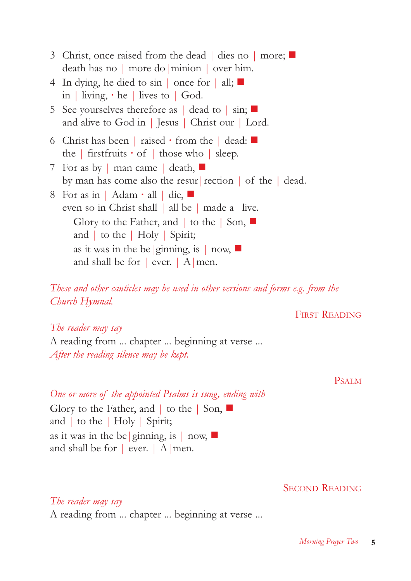| 3 Christ, once raised from the dead   dies no   more;<br>$\alpha$ death has no   more do   minion   over him.                                                                                                                                                                                                                     |
|-----------------------------------------------------------------------------------------------------------------------------------------------------------------------------------------------------------------------------------------------------------------------------------------------------------------------------------|
| 4 In dying, he died to sin $\vert$ once for $\vert$ all; $\vert$<br>in   living, $\cdot$ he   lives to   God.                                                                                                                                                                                                                     |
| 5 See yourselves therefore as $ $ dead to $  \sin$ ; $  \cdot  $<br>and alive to God in   Jesus   Christ our   Lord.                                                                                                                                                                                                              |
| 6 Christ has been   raised $\cdot$ from the   dead:<br>the   first fruits $\cdot$ of   those who   sleep.                                                                                                                                                                                                                         |
| 7 For as by $\vert$ man came $\vert$ death, $\vert \vert$<br>by man has come also the resur rection $\vert$ of the $\vert$ dead.                                                                                                                                                                                                  |
| 8 For as in   Adam $\cdot$ all   die,<br>even so in Christ shall   all be   made a live.<br>Glory to the Father, and $\vert$ to the $\vert$ Son, $\blacksquare$<br>and $\vert$ to the $\vert$ Holy $\vert$ Spirit;<br>as it was in the be ginning, is $\mid$ now, $\blacksquare$<br>and shall be for $\vert$ ever. $\vert$ A men. |
|                                                                                                                                                                                                                                                                                                                                   |

*These and other canticles may be used in other versions and forms e.g. from the Church Hymnal.*

### FIRST READING

### *The reader may say*

A reading from ... chapter ... beginning at verse ... *After the reading silence may be kept.*

#### PSALM

*One or more of the appointed Psalms is sung, ending with* Glory to the Father, and  $\vert$  to the  $\vert$  Son,  $\blacksquare$ 

and | to the | Holy | Spirit; as it was in the be | ginning, is  $|$  now, and shall be for  $|$  ever.  $|$  A men.

### SECOND READING

*The reader may say* A reading from ... chapter ... beginning at verse ...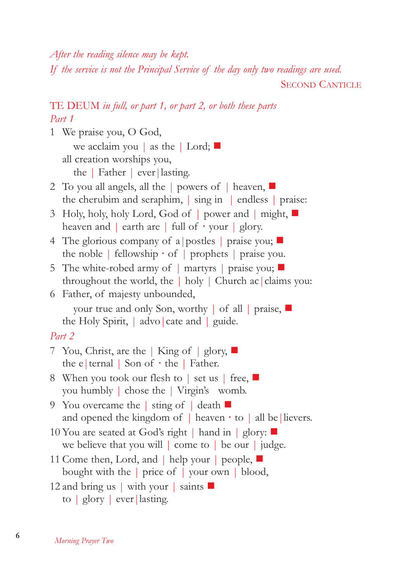*After the reading silence may be kept.*

*If the service is not the Principal Service of the day only two readings are used.*

SECOND CANTICLE

# TE DEUM *in full, or part 1, or part 2, or both these parts Part 1*

1 We praise you, O God,

we acclaim you | as the | Lord;  $\Box$ all creation worships you,

the | Father | ever|lasting.

- 2 To you all angels, all the | powers of | heaven, the cherubim and seraphim, | sing in | endless | praise:
- 3 Holy, holy, holy Lord, God of | power and | might, heaven and | earth are | full of **·** your | glory.
- 4 The glorious company of a postles  $|$  praise you;  $\blacksquare$ the noble | fellowship **·** of | prophets | praise you.
- 5 The white-robed army of  $\parallel$  martyrs  $\parallel$  praise you;  $\blacksquare$ throughout the world, the | holy | Church ac|claims you:
- 6 Father, of majesty unbounded,

your true and only Son, worthy | of all | praise, the Holy Spirit, | advo|cate and | guide.

# *Part 2*

- 7 You, Christ, are the | King of | glory,  $\blacksquare$ the e|ternal | Son of **·** the | Father.
- 8 When you took our flesh to | set us | free, you humbly | chose the | Virgin's womb.
- 9 You overcame the | sting of | death and opened the kingdom of  $\vert$  heaven  $\cdot$  to  $\vert$  all be lievers.
- 10 You are seated at God's right  $\vert$  hand in  $\vert$  glory:  $\blacksquare$ we believe that you will | come to | be our | judge.
- 11 Come then, Lord, and | help your | people, bought with the | price of | your own | blood,
- 12 and bring us | with your | saints
	- to | glory | ever|lasting.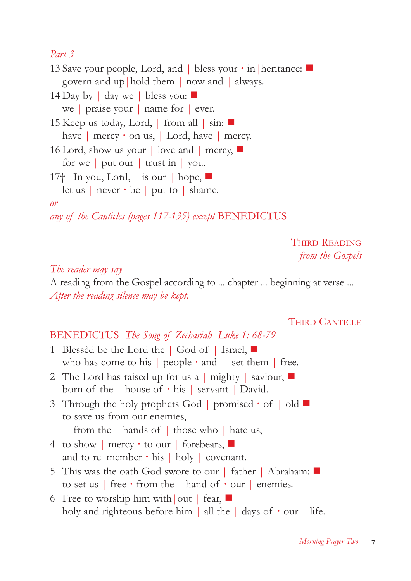# *Part 3*

13 Save your people, Lord, and | bless your **·** in|heritance: govern and up|hold them | now and | always.

- 14 Day by  $\vert$  day we  $\vert$  bless you: we | praise your | name for | ever.
- 15 Keep us today, Lord, | from all | sin: have | mercy  $\cdot$  on us, | Lord, have | mercy.
- 16 Lord, show us your | love and | mercy, for we | put our | trust in | you.
- 17<sup>†</sup> In you, Lord, is our  $\vert$  hope,  $\blacksquare$ let us | never **·** be | put to | shame.

### *or*

*any of the Canticles (pages 117-135) except* BENEDICTUS

THIRD READING *from the Gospels*

# *The reader may say*

A reading from the Gospel according to ... chapter ... beginning at verse ... *After the reading silence may be kept.*

### THIRD CANTICLE

# BENEDICTUS *The Song of Zechariah Luke 1: 68-79*

- 1 Blessèd be the Lord the | God of | Israel, who has come to his | people **·** and | set them | free.
- 2 The Lord has raised up for us a  $\vert$  mighty  $\vert$  saviour,  $\vert$ born of the | house of **·** his | servant | David.
- 3 Through the holy prophets God | promised **·** of | old to save us from our enemies,

```
from the | hands of | those who | hate us,
```
- 4 to show | mercy **·** to our | forebears, and to re | member  $\cdot$  his | holy | covenant.
- 5 This was the oath God swore to our | father | Abraham: to set us | free **·** from the | hand of **·** our | enemies.
- 6 Free to worship him with out | fear, holy and righteous before him | all the | days of **·** our | life.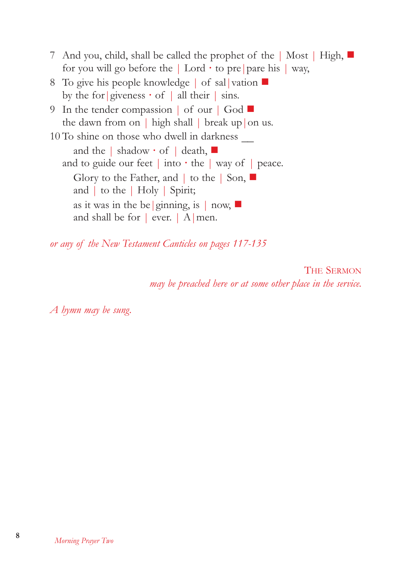- 7 And you, child, shall be called the prophet of the | Most | High, for you will go before the  $|$  Lord  $\cdot$  to pre | pare his  $|$  way,
- 8 To give his people knowledge | of sal | vation  $\blacksquare$ by the for|giveness **·** of | all their | sins.
- 9 In the tender compassion | of our | God the dawn from on  $\vert$  high shall  $\vert$  break up $\vert$  on us.
- 10 To shine on those who dwell in darkness \_\_ and the | shadow **·** of | death, and to guide our feet  $|$  into  $\cdot$  the  $|$  way of  $|$  peace. Glory to the Father, and  $\vert$  to the  $\vert$  Son,  $\vert$ and | to the | Holy | Spirit; as it was in the be | ginning, is  $|$  now, and shall be for | ever. | A|men.

*or any of the New Testament Canticles on pages 117-135*

THE SERMON *may be preached here or at some other place in the service.*

*A hymn may be sung.*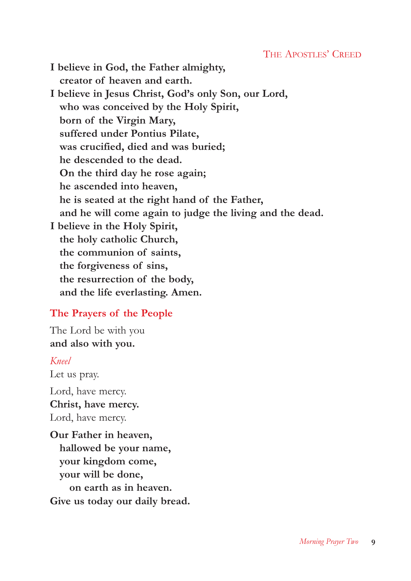### THE APOSTLES' CREED

**I believe in God, the Father almighty, creator of heaven and earth. I believe in Jesus Christ, God's only Son, our Lord, who was conceived by the Holy Spirit, born of the Virgin Mary, suffered under Pontius Pilate, was crucified, died and was buried; he descended to the dead. On the third day he rose again; he ascended into heaven, he is seated at the right hand of the Father, and he will come again to judge the living and the dead. I believe in the Holy Spirit, the holy catholic Church, the communion of saints, the forgiveness of sins, the resurrection of the body, and the life everlasting. Amen.**

### **The Prayers of the People**

The Lord be with you **and also with you.**

#### *Kneel*

Let us pray.

Lord, have mercy. **Christ, have mercy.** Lord, have mercy.

**Our Father in heaven, hallowed be your name, your kingdom come, your will be done, on earth as in heaven. Give us today our daily bread.**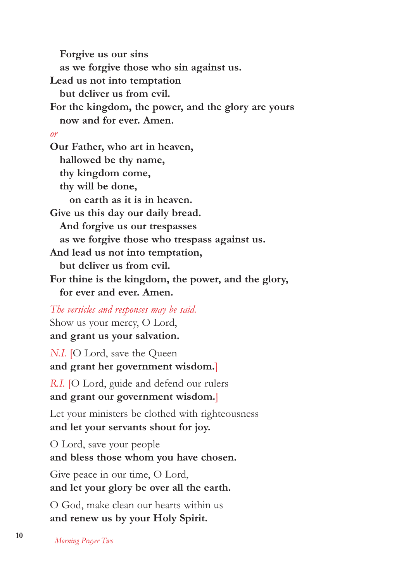**Forgive us our sins as we forgive those who sin against us. Lead us not into temptation but deliver us from evil. For the kingdom, the power, and the glory are yours now and for ever. Amen.** *or* **Our Father, who art in heaven, hallowed be thy name, thy kingdom come, thy will be done, on earth as it is in heaven. Give us this day our daily bread. And forgive us our trespasses as we forgive those who trespass against us. And lead us not into temptation, but deliver us from evil. For thine is the kingdom, the power, and the glory, for ever and ever. Amen.**

*The versicles and responses may be said.* Show us your mercy, O Lord, **and grant us your salvation.**

*N.I.* [O Lord, save the Queen **and grant her government wisdom.**]

*R.I.* [O Lord, guide and defend our rulers **and grant our government wisdom.**]

Let your ministers be clothed with righteousness **and let your servants shout for joy.**

O Lord, save your people **and bless those whom you have chosen.**

Give peace in our time, O Lord, **and let your glory be over all the earth.**

O God, make clean our hearts within us **and renew us by your Holy Spirit.**

**<sup>10</sup>** *Morning Prayer Two*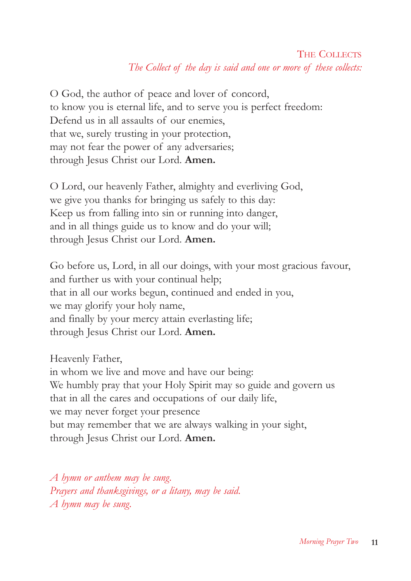# THE COLLECTS *The Collect of the day is said and one or more of these collects:*

O God, the author of peace and lover of concord, to know you is eternal life, and to serve you is perfect freedom: Defend us in all assaults of our enemies, that we, surely trusting in your protection, may not fear the power of any adversaries; through Jesus Christ our Lord. **Amen.**

O Lord, our heavenly Father, almighty and everliving God, we give you thanks for bringing us safely to this day: Keep us from falling into sin or running into danger, and in all things guide us to know and do your will; through Jesus Christ our Lord. **Amen.**

Go before us, Lord, in all our doings, with your most gracious favour, and further us with your continual help; that in all our works begun, continued and ended in you, we may glorify your holy name, and finally by your mercy attain everlasting life; through Jesus Christ our Lord. **Amen.**

Heavenly Father,

in whom we live and move and have our being: We humbly pray that your Holy Spirit may so guide and govern us that in all the cares and occupations of our daily life, we may never forget your presence but may remember that we are always walking in your sight, through Jesus Christ our Lord. **Amen.**

*A hymn or anthem may be sung. Prayers and thanksgivings, or a litany, may be said. A hymn may be sung.*